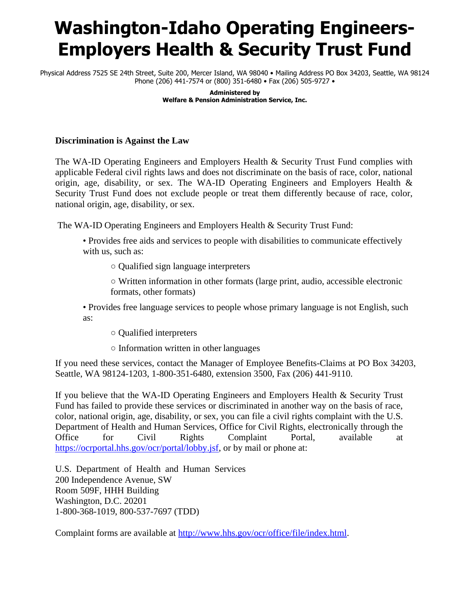## **Washington-Idaho Operating Engineers-Employers Health & Security Trust Fund**

Physical Address 7525 SE 24th Street, Suite 200, Mercer Island, WA 98040 • Mailing Address PO Box 34203, Seattle, WA 98124 Phone (206) 441-7574 or (800) 351-6480 • Fax (206) 505-9727 •

> **Administered by Welfare & Pension Administration Service, Inc.**

## **Discrimination is Against the Law**

The WA-ID Operating Engineers and Employers Health & Security Trust Fund complies with applicable Federal civil rights laws and does not discriminate on the basis of race, color, national origin, age, disability, or sex. The WA-ID Operating Engineers and Employers Health  $\&$ Security Trust Fund does not exclude people or treat them differently because of race, color, national origin, age, disability, or sex.

The WA-ID Operating Engineers and Employers Health & Security Trust Fund:

• Provides free aids and services to people with disabilities to communicate effectively with us, such as:

○ Qualified sign language interpreters

○ Written information in other formats (large print, audio, accessible electronic formats, other formats)

• Provides free language services to people whose primary language is not English, such as:

○ Qualified interpreters

○ Information written in other languages

If you need these services, contact the Manager of Employee Benefits-Claims at PO Box 34203, Seattle, WA 98124-1203, 1-800-351-6480, extension 3500, Fax (206) 441-9110.

If you believe that the WA-ID Operating Engineers and Employers Health & Security Trust Fund has failed to provide these services or discriminated in another way on the basis of race, color, national origin, age, disability, or sex, you can file a civil rights complaint with the U.S. Department of Health and Human Services, Office for Civil Rights, electronically through the Office for Civil Rights Complaint Portal, available at [https://ocrportal.hhs.gov/ocr/portal/lobby.jsf,](https://ocrportal.hhs.gov/ocr/portal/lobby.jsf) or by mail or phone at:

U.S. Department of Health and Human Services 200 Independence Avenue, SW Room 509F, HHH Building Washington, D.C. 20201 1-800-368-1019, 800-537-7697 (TDD)

Complaint forms are available at [http://www.hhs.gov/ocr/office/file/index.html.](http://www.hhs.gov/ocr/office/file/index.html)